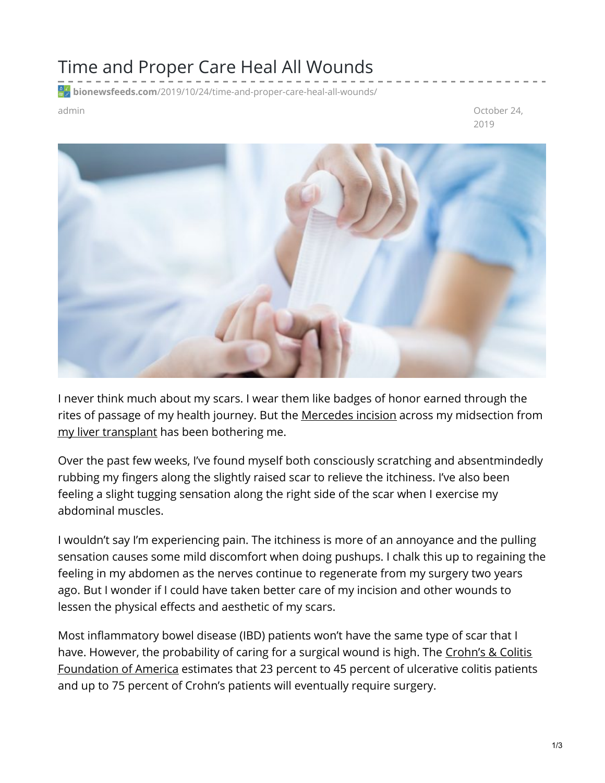## Time and Proper Care Heal All Wounds

**bionewsfeeds.com**[/2019/10/24/time-and-proper-care-heal-all-wounds/](https://bionewsfeeds.com/2019/10/24/time-and-proper-care-heal-all-wounds/)

admin October 24, 2019



I never think much about my scars. I wear them like badges of honor earned through the rites of passage of my health journey. But the [Mercedes](https://www.ncbi.nlm.nih.gov/books/NBK541018/) incision across my midsection from my liver [transplant](https://ibdnewstoday.com/2019/09/12/transplant-liver-donor/) has been bothering me.

Over the past few weeks, I've found myself both consciously scratching and absentmindedly rubbing my fingers along the slightly raised scar to relieve the itchiness. I've also been feeling a slight tugging sensation along the right side of the scar when I exercise my abdominal muscles.

I wouldn't say I'm experiencing pain. The itchiness is more of an annoyance and the pulling sensation causes some mild discomfort when doing pushups. I chalk this up to regaining the feeling in my abdomen as the nerves continue to regenerate from my surgery two years ago. But I wonder if I could have taken better care of my incision and other wounds to lessen the physical effects and aesthetic of my scars.

Most inflammatory bowel disease (IBD) patients won't have the same type of scar that I have. However, the probability of caring for a surgical wound is high. The Crohn's & Colitis [Foundation](https://www.google.com/url?sa=t&rct=j&q=&esrc=s&source=web&cd=16&ved=2ahUKEwjqifOU1K3lAhUOQ60KHUbWA-cQFjAPegQICBAC&url=https%3A%2F%2Fwww.crohnscolitisfoundation.org%2Fsites%2Fdefault%2Ffiles%2Flegacy%2Fassets%2Fpdfs%2Fsurgery_brochure_final.pdf&usg=AOvVaw1YQ57MP500S7vjx6WoXxzq) of America estimates that 23 percent to 45 percent of ulcerative colitis patients and up to 75 percent of Crohn's patients will eventually require surgery.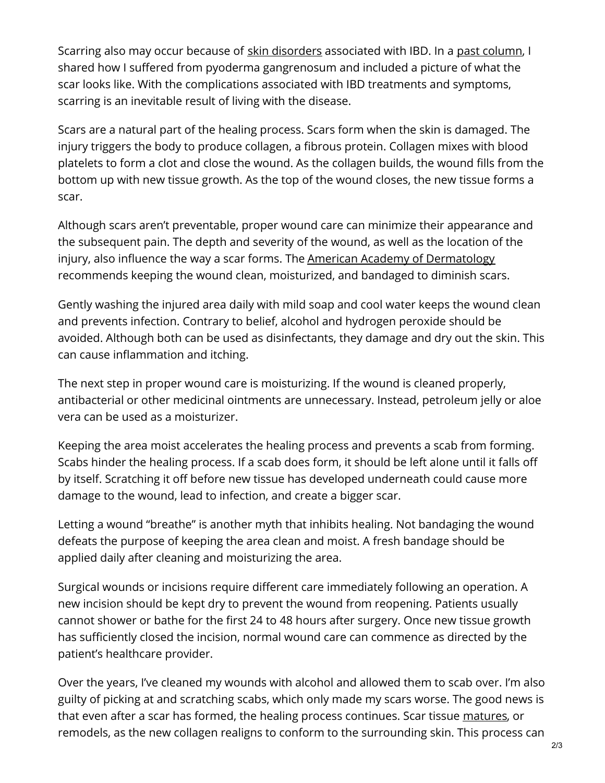Scarring also may occur because of skin [disorders](https://www.ncbi.nlm.nih.gov/pmc/articles/PMC3273725/) associated with IBD. In a past [column](https://ibdnewstoday.com/2019/04/25/dermatological-symptoms-ibd-pyoderma-gangrenosum-skin-deep/), I shared how I suffered from pyoderma gangrenosum and included a picture of what the scar looks like. With the complications associated with IBD treatments and symptoms, scarring is an inevitable result of living with the disease.

Scars are a natural part of the healing process. Scars form when the skin is damaged. The injury triggers the body to produce collagen, a fibrous protein. Collagen mixes with blood platelets to form a clot and close the wound. As the collagen builds, the wound fills from the bottom up with new tissue growth. As the top of the wound closes, the new tissue forms a scar.

Although scars aren't preventable, proper wound care can minimize their appearance and the subsequent pain. The depth and severity of the wound, as well as the location of the injury, also influence the way a scar forms. The American Academy of [Dermatology](https://www.aad.org/injured-skin/wound-care-minimize-scars) recommends keeping the wound clean, moisturized, and bandaged to diminish scars.

Gently washing the injured area daily with mild soap and cool water keeps the wound clean and prevents infection. Contrary to belief, alcohol and hydrogen peroxide should be avoided. Although both can be used as disinfectants, they damage and dry out the skin. This can cause inflammation and itching.

The next step in proper wound care is moisturizing. If the wound is cleaned properly, antibacterial or other medicinal ointments are unnecessary. Instead, petroleum jelly or aloe vera can be used as a moisturizer.

Keeping the area moist accelerates the healing process and prevents a scab from forming. Scabs hinder the healing process. If a scab does form, it should be left alone until it falls off by itself. Scratching it off before new tissue has developed underneath could cause more damage to the wound, lead to infection, and create a bigger scar.

Letting a wound "breathe" is another myth that inhibits healing. Not bandaging the wound defeats the purpose of keeping the area clean and moist. A fresh bandage should be applied daily after cleaning and moisturizing the area.

Surgical wounds or incisions require different care immediately following an operation. A new incision should be kept dry to prevent the wound from reopening. Patients usually cannot shower or bathe for the first 24 to 48 hours after surgery. Once new tissue growth has sufficiently closed the incision, normal wound care can commence as directed by the patient's healthcare provider.

Over the years, I've cleaned my wounds with alcohol and allowed them to scab over. I'm also guilty of picking at and scratching scabs, which only made my scars worse. The good news is that even after a scar has formed, the healing process continues. Scar tissue [matures](https://www.ncbi.nlm.nih.gov/books/NBK518964/), or remodels, as the new collagen realigns to conform to the surrounding skin. This process can